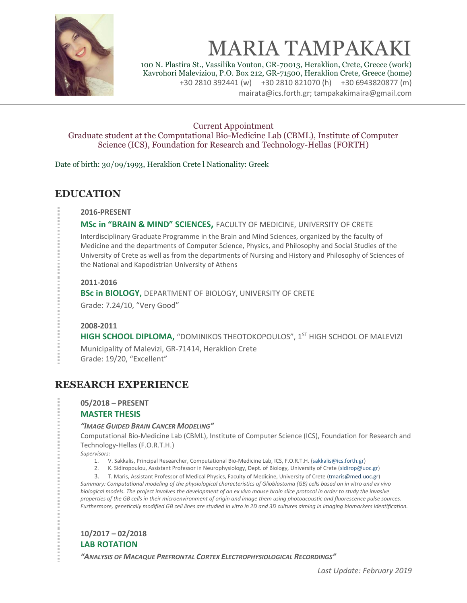

# MARIA TAMPAKAKI

100 N. Plastira St., Vassilika Vouton, GR-70013, Heraklion, Crete, Greece (work) Kavrohori Maleviziou, P.O. Box 212, GR-71500, Heraklion Crete, Greece (home) +30 2810 392441 (w) +30 2810 821070 (h) +30 6943820877 (m) mairata@ics.forth.gr; tampakakimaira@gmail.com

#### Current Appointment

Graduate student at the Computational Bio-Medicine Lab (CBML), Institute of Computer Science (ICS), Foundation for Research and Technology-Hellas (FORTH)

Date of birth: 30/09/1993, Heraklion Crete l Nationality: Greek

## **EDUCATION**

**2016-PRESENT**

#### **MSc in "BRAIN & MIND" SCIENCES,** FACULTY OF MEDICINE, UNIVERSITY OF CRETE

Interdisciplinary Graduate Programme in the Brain and Mind Sciences, organized by the faculty of Medicine and the departments of Computer Science, Physics, and Philosophy and Social Studies of the University of Crete as well as from the departments of Nursing and History and Philosophy of Sciences of the National and Kapodistrian University of Athens

#### **2011-2016**

**BSc in BIOLOGY,** DEPARTMENT OF BIOLOGY, UNIVERSITY OF CRETE Grade: 7.24/10, "Very Good"

#### **2008-2011**

**HIGH SCHOOL DIPLOMA,** "DOMINIKOS THEOTOKOPOULOS", 1<sup>ST</sup> HIGH SCHOOL OF MALEVIZI Municipality of Malevizi, GR-71414, Heraklion Crete Grade: 19/20, "Excellent"

## **RESEARCH EXPERIENCE**

## **05/2018 – PRESENT**

#### **MASTER THESIS**

#### *"IMAGE GUIDED BRAIN CANCER MODELING"*

Computational Bio-Medicine Lab (CBML), Institute of Computer Science (ICS), Foundation for Research and Technology-Hellas (F.O.R.T.H.)

*Supervisors:* 

- 1. V. Sakkalis, Principal Researcher, Computational Bio-Medicine Lab, ICS, F.O.R.T.H. [\(sakkalis@ics.forth.gr\)](mailto:sakkalis@ics.forth.gr)
- 2. K. Sidiropoulou, Assistant Professor in Neurophysiology, Dept. of Biology, University of Crete [\(sidirop@uoc.gr\)](mailto:sidirop@uoc.gr)

3. T. Maris, Assistant Professor of Medical Physics, Faculty of Medicine, University of Crete [\(tmaris@med.uoc.gr\)](mailto:tmaris@med.uoc.gr) *Summary: Computational modeling of the physiological characteristics of Glioblastoma (GB) cells based on in vitro and ex vivo biological models. The project involves the development of an ex vivo mouse brain slice protocol in order to study the invasive properties of the GB cells in their microenvironment of origin and image them using photoacoustic and fluorescence pulse sources. Furthermore, genetically modified GB cell lines are studied in vitro in 2D and 3D cultures aiming in imaging biomarkers identification.* 

#### **10/2017 – 02/2018 LAB ROTATION**

*"ANALYSIS OF MACAQUE PREFRONTAL CORTEX ELECTROPHYSIOLOGICAL RECORDINGS"*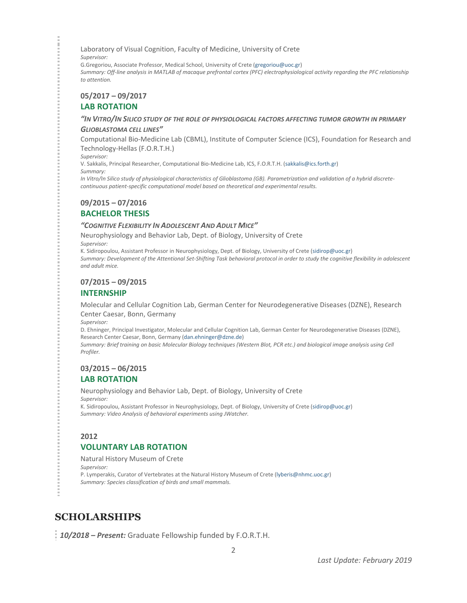Laboratory of Visual Cognition, Faculty of Medicine, University of Crete *Supervisor:*

G.Gregoriou, Associate Professor, Medical School, University of Crete [\(gregoriou@uoc.gr\)](mailto:gregoriou@uoc.gr) *Summary: Off-line analysis in MATLAB of macaque prefrontal cortex (PFC) electrophysiological activity regarding the PFC relationship to attention.*

**05/2017 – 09/2017**

#### **LAB ROTATION**

#### *"IN VITRO/IN SILICO STUDY OF THE ROLE OF PHYSIOLOGICAL FACTORS AFFECTING TUMOR GROWTH IN PRIMARY*

#### *GLIOBLASTOMA CELL LINES"*

Computational Bio-Medicine Lab (CBML), Institute of Computer Science (ICS), Foundation for Research and Technology-Hellas (F.O.R.T.H.)

*Supervisor:*

V. Sakkalis, Principal Researcher, Computational Bio-Medicine Lab, ICS, F.O.R.T.H. [\(sakkalis@ics.forth.gr\)](mailto:sakkalis@ics.forth.gr)

*Summary:*

*In Vitro/In Silico study of physiological characteristics of Glioblastoma (GB). Parametrization and validation of a hybrid discretecontinuous patient-specific computational model based on theoretical and experimental results.*

#### **09/2015 – 07/2016**

#### **BACHELOR THESIS**

#### *"COGNITIVE FLEXIBILITY IN ADOLESCENT AND ADULT MICE"*

Neurophysiology and Behavior Lab, Dept. of Biology, University of Crete *Supervisor:*

K. Sidiropoulou, Assistant Professor in Neurophysiology, Dept. of Biology, University of Crete [\(sidirop@uoc.gr\)](mailto:sidirop@uoc.gr) *Summary: Development of the Attentional Set-Shifting Task behavioral protocol in order to study the cognitive flexibility in adolescent and adult mice.*

#### **07/2015 – 09/2015**

#### **INTERNSHIP**

Molecular and Cellular Cognition Lab, German Center for Neurodegenerative Diseases (DZNE), Research Center Caesar, Bonn, Germany

*Supervisor:*

D. Ehninger, Principal Investigator, Molecular and Cellular Cognition Lab, German Center for Neurodegenerative Diseases (DZNE), Research Center Caesar, Bonn, Germany [\(dan.ehninger@dzne.de\)](mailto:dan.ehninger@dzne.de)

*Summary: Brief training on basic Molecular Biology techniques (Western Blot, PCR etc.) and biological image analysis using Cell Profiler.*

#### **03/2015 – 06/2015 LAB ROTATION**

## Neurophysiology and Behavior Lab, Dept. of Biology, University of Crete

*Supervisor:*

K. Sidiropoulou, Assistant Professor in Neurophysiology, Dept. of Biology, University of Crete [\(sidirop@uoc.gr\)](mailto:sidirop@uoc.gr) *Summary: Video Analysis of behavioral experiments using JWatcher.*

#### **2012**

#### **VOLUNTARY LAB ROTATION**

Natural History Museum of Crete *Supervisor:* P. Lymperakis, Curator of Vertebrates at the Natural History Museum of Crete [\(lyberis@nhmc.uoc.gr\)](mailto:lyberis@nhmc.uoc.gr) *Summary: Species classification of birds and small mammals.*

## **SCHOLARSHIPS**

*10/2018 – Present:* Graduate Fellowship funded by F.O.R.T.H.